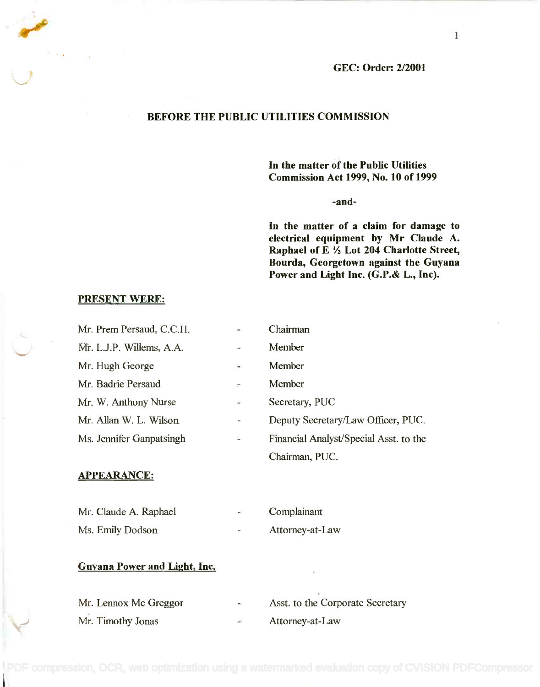

## BEFORE THE PUBLIC UTILITIES COMMISSION

In the matter of the Public Utilities **In the matter of the Public Utilities** Commission Act 1999, No. 10 of 1999 **Commission Act 1999, No. 10 of 1999**

-and-

In the matter of a claim for damage to **In the matter of a claim for damage to** electrical equipment by Mr Claude A. **electrical equipment by Mr Claude A.** Raphael of E 'A Lot 204 Charlotte Street, **Raphael of E ~ Lot 204 Charlotte Street,** Bourda, Georgetown against the Guyana **Bourda, Georgetown against the Guyana** Power and Light Inc. (G.P.& L., Inc). **Power and Light Inc. (G.P.& L., Inc).**

## PRESENT WERE:

| Mr. Prem Persaud, C.C.H. |                     | Chairman                               |
|--------------------------|---------------------|----------------------------------------|
| Mr. L.J.P. Willems, A.A. |                     | Member                                 |
| Mr. Hugh George          | $\equiv$            | Member                                 |
| Mr. Badrie Persaud       | w                   | Member                                 |
| Mr. W. Anthony Nurse     | ÷.                  | Secretary, PUC                         |
| Mr. Allan W. L. Wilson   |                     | Deputy Secretary/Law Officer, PUC.     |
| Ms. Jennifer Ganpatsingh | w.                  | Financial Analyst/Special Asst. to the |
|                          |                     | Chairman, PUC.                         |
| <b>APPEARANCE:</b>       |                     |                                        |
|                          |                     |                                        |
| Mr. Claude A. Raphael    | $\mathbf{m}(\cdot)$ | Complainant                            |
| Ms. Emily Dodson         |                     | Attorney-at-Law                        |

## Guyana Power and Light, Inc.

| Mr. Lennox Mc Greggor | $\blacksquare$ | Asst. to the Corporate Secretary |
|-----------------------|----------------|----------------------------------|
| Mr. Timothy Jonas     |                | Attorney-at-Law                  |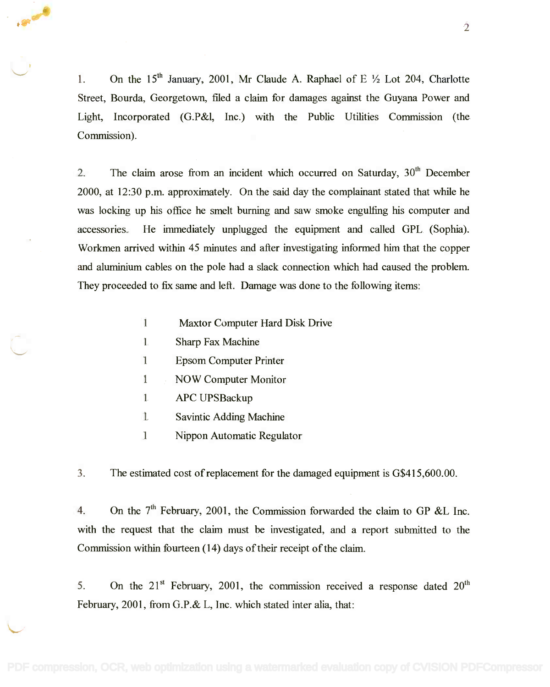1. On the 15<sup>th</sup> January, 2001, Mr Claude A. Raphael of E  $\frac{1}{2}$  Lot 204, Charlotte Street, Bourda, Georgetown, filed a claim for damages against the Guyana Power and Street, Bourda, Georgetown, filed a claim for damages against the Guyana Power and Light, Incorporated (G.P&l, Inc.) with the Public Utilities Commission (the Light, Incorporated (G.P&I, Inc.) with the Public Utilities Commission (the Commission). Commission).

2. The claim arose from an incident which occurred on Saturday,  $30<sup>th</sup>$  December 2000, at 12:30 p.m. approximately. On the said day the complainant stated that while he 2000, at 12:30 p.m. approximately. On the said day the complainant stated that while he was locking up his office he smelt burning and saw smoke engulfing his computer and was locking up his office he smelt burning and saw smoke engulfing his computer and accessories. He immediately unplugged the equipment and called GPL (Sophia). accessories. He immediately unplugged the equipment and called GPL (Sophia). Workmen arrived within 45 minutes and after investigating informed him that the copper Workmen arrived within 45 minutes and after investigating informed him that the copper and aluminium cables on the pole had a slack connection which had caused the problem. and aluminium cables on the pole had a slack connection which had caused the problem. They proceeded to fix same and left. Damage was done to the following items:

- <sup>1</sup> Maxtor Computer Hard Disk Drive 1 Maxtor Computer Hard Disk Drive
- <sup>1</sup> Sharp Fax Machine 1 Sharp Fax Machine
- <sup>1</sup> Epsom Computer Printer 1 Epsom Computer Printer
- <sup>1</sup> NOW Computer Monitor 1 NOW Computer Monitor
- <sup>1</sup> APC UPSBackup 1 APC UPSBackup
- <sup>1</sup> Savintic Adding Machine 1 Savintic Adding Machine
- <sup>1</sup> Nippon Automatic Regulator 1 Nippon Automatic Regulator

3. The estimated cost of replacement for the damaged equipment is G\$415,600.00.

4. On the  $7<sup>th</sup>$  February, 2001, the Commission forwarded the claim to GP &L Inc. with the request that the claim must be investigated, and a report submitted to the with the request that the claim must be investigated, and a report submitted to the Commission within fourteen (14) days of their receipt of the claim. Commission within fourteen (14) days of their receipt ofthe claim.

5. On the  $21<sup>st</sup>$  February, 2001, the commission received a response dated  $20<sup>th</sup>$ February, 2001, from G.P.& L, Inc. which stated inter alia, that: February, 2001, from G.P.& L, Inc. which stated inter alia, that: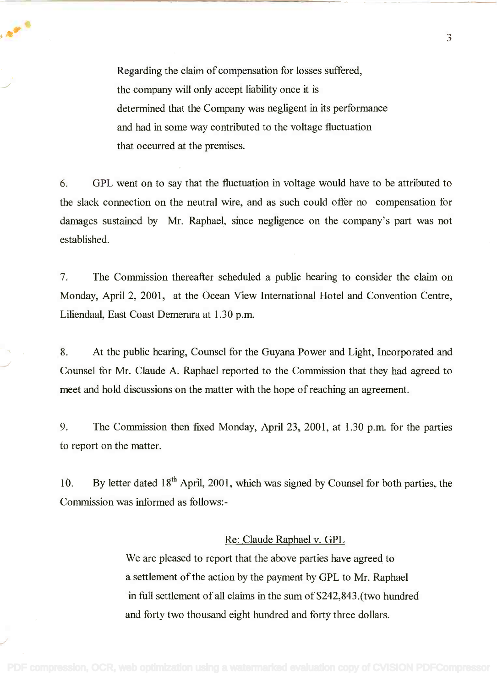Regarding the claim of compensation for losses suffered, Regarding the claim of compensation for losses suffered, the company will only accept liability once it is the company will only accept liability once it is determined that the Company was negligent in its performance determined that the Company was negligent in its performance and had in some way contributed to the voltage fluctuation and had in some way contributed to the voltage fluctuation that occurred at the premises that occurred at the premises.

6. GPL went on to say that the fluctuation in voltage would have to be attributed to 6. GPL went on to say that the fluctuation in voltage would have to be attributed to the slack connection on the neutral wire, and as such could offer no compensation for the slack connection on the neutral wire, and as such could offer no compensation for damages sustained by Mr. Raphael, since negligence on the company's part was not damages sustained by Mr. Raphael, since negligence on the company's part was not established. established.

7. The Commission thereafter scheduled a public hearing to consider the claim on 7. The Commission thereafter scheduled a public hearing to consider the claim on Monday, April 2, 2001, at the Ocean View International Hotel and Convention Centre, Monday, April 2, 2001, at the Ocean View International Hotel and Convention Centre, Liliendaal, East Coast Demerara at 1.30 p.m. Liliendaal, East Coast Demerara at 1.30 p.m.

8. At the public hearing, Counsel for the Guyana Power and Light, Incorporated and 8. At the public hearing, Counsel for the Guyana Power and Light, Incorporated and Counsel for Mr. Claude A. Raphael reported to the Commission that they had agreed to Counsel for Mr. Claude A. Raphael reported to the Commission that they had agreed to meet and hold discussions on the matter with the hope of reaching an agreement. meet and hold discussions on the matter with the hope of reaching an agreement.

9. The Commission then fixed Monday, April 23, 2001, at 1.30 p.m. for the parties 9. The Commission then fixed Monday, April 23, 2001, at 1.30 p.m. for the parties to report on the matter. to report on the matter.

10. By letter dated  $18<sup>th</sup>$  April, 2001, which was signed by Counsel for both parties, the Commission was informed as follows:- Commission was informed as follows:-

## Re: Claude Raphael v. GPL

We are pleased to report that the above parties have agreed to We are pleased to report that the above parties have agreed to a settlement of the action by the payment by GPL to Mr. Raphael a settlement ofthe action by the payment by GPL to Mr. Raphael in full settlement of all claims in the sum of \$242,843.(two hundred in **full** settlement of all claims in the sum of\$242,843.(two hundred and forty two thousand eight hundred and forty three dollars. and forty two thousand eight hundred and forty three dollars.

3